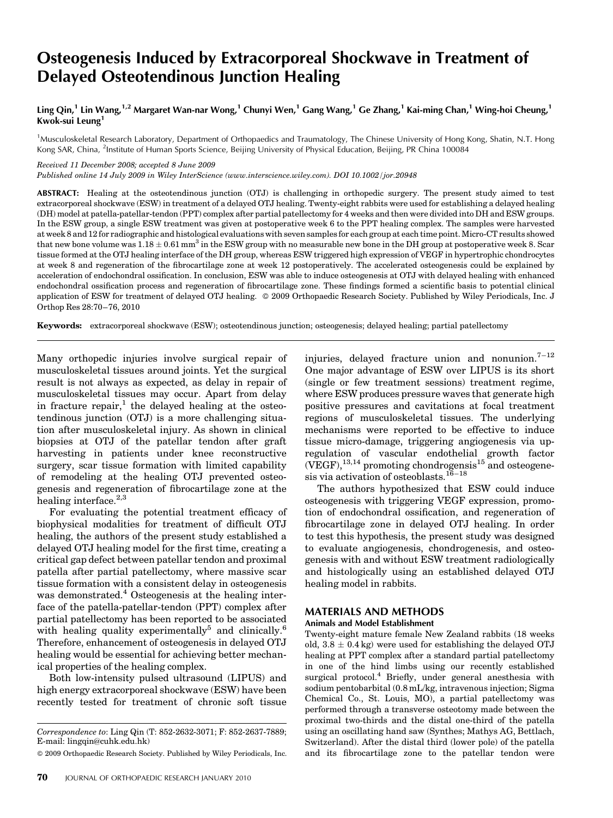# Osteogenesis Induced by Extracorporeal Shockwave in Treatment of Delayed Osteotendinous Junction Healing

## Ling Qin,<sup>1</sup> Lin Wang,<sup>1,2</sup> Margaret Wan-nar Wong,<sup>1</sup> Chunyi Wen,<sup>1</sup> Gang Wang,<sup>1</sup> Ge Zhang,<sup>1</sup> Kai-ming Chan,<sup>1</sup> Wing-hoi Cheung,<sup>1</sup> Kwok-sui Leung<sup>1</sup>

<sup>1</sup>Musculoskeletal Research Laboratory, Department of Orthopaedics and Traumatology, The Chinese University of Hong Kong, Shatin, N.T. Hong Kong SAR, China, <sup>2</sup>Institute of Human Sports Science, Beijing University of Physical Education, Beijing, PR China 100084

#### Received 11 December 2008; accepted 8 June 2009

Published online 14 July 2009 in Wiley InterScience (www.interscience.wiley.com). DOI 10.1002/jor.20948

ABSTRACT: Healing at the osteotendinous junction (OTJ) is challenging in orthopedic surgery. The present study aimed to test extracorporeal shockwave (ESW) in treatment of a delayed OTJ healing. Twenty-eight rabbits were used for establishing a delayed healing (DH) model at patella-patellar-tendon (PPT) complex after partial patellectomy for 4 weeks and then were divided into DH and ESW groups. In the ESW group, a single ESW treatment was given at postoperative week 6 to the PPT healing complex. The samples were harvested at week 8 and 12 for radiographic and histological evaluations with seven samples for each group at each time point. Micro-CT results showed that new bone volume was  $1.18 \pm 0.61$  mm<sup>3</sup> in the ESW group with no measurable new bone in the DH group at postoperative week 8. Scar tissue formed at the OTJ healing interface of the DH group, whereas ESW triggered high expression of VEGF in hypertrophic chondrocytes at week 8 and regeneration of the fibrocartilage zone at week 12 postoperatively. The accelerated osteogenesis could be explained by acceleration of endochondral ossification. In conclusion, ESW was able to induce osteogenesis at OTJ with delayed healing with enhanced endochondral ossification process and regeneration of fibrocartilage zone. These findings formed a scientific basis to potential clinical application of ESW for treatment of delayed OTJ healing. 2009 Orthopaedic Research Society. Published by Wiley Periodicals, Inc. J Orthop Res 28:70–76, 2010

Keywords: extracorporeal shockwave (ESW); osteotendinous junction; osteogenesis; delayed healing; partial patellectomy

Many orthopedic injuries involve surgical repair of musculoskeletal tissues around joints. Yet the surgical result is not always as expected, as delay in repair of musculoskeletal tissues may occur. Apart from delay in fracture repair,<sup>1</sup> the delayed healing at the osteotendinous junction (OTJ) is a more challenging situation after musculoskeletal injury. As shown in clinical biopsies at OTJ of the patellar tendon after graft harvesting in patients under knee reconstructive surgery, scar tissue formation with limited capability of remodeling at the healing OTJ prevented osteogenesis and regeneration of fibrocartilage zone at the healing interface.<sup>2,3</sup>

For evaluating the potential treatment efficacy of biophysical modalities for treatment of difficult OTJ healing, the authors of the present study established a delayed OTJ healing model for the first time, creating a critical gap defect between patellar tendon and proximal patella after partial patellectomy, where massive scar tissue formation with a consistent delay in osteogenesis was demonstrated.<sup>4</sup> Osteogenesis at the healing interface of the patella-patellar-tendon (PPT) complex after partial patellectomy has been reported to be associated with healing quality experimentally<sup>5</sup> and clinically.<sup>6</sup> Therefore, enhancement of osteogenesis in delayed OTJ healing would be essential for achieving better mechanical properties of the healing complex.

Both low-intensity pulsed ultrasound (LIPUS) and high energy extracorporeal shockwave (ESW) have been recently tested for treatment of chronic soft tissue injuries, delayed fracture union and nonunion. $7-12$ One major advantage of ESW over LIPUS is its short (single or few treatment sessions) treatment regime, where ESW produces pressure waves that generate high positive pressures and cavitations at focal treatment regions of musculoskeletal tissues. The underlying mechanisms were reported to be effective to induce tissue micro-damage, triggering angiogenesis via upregulation of vascular endothelial growth factor  $(VEGF),<sup>13,14</sup>$  promoting chondrogensis<sup>15</sup> and osteogenesis via activation of osteoblasts.<sup>16–18</sup>

The authors hypothesized that ESW could induce osteogenesis with triggering VEGF expression, promotion of endochondral ossification, and regeneration of fibrocartilage zone in delayed OTJ healing. In order to test this hypothesis, the present study was designed to evaluate angiogenesis, chondrogenesis, and osteogenesis with and without ESW treatment radiologically and histologically using an established delayed OTJ healing model in rabbits.

#### MATERIALS AND METHODS

#### Animals and Model Establishment

Twenty-eight mature female New Zealand rabbits (18 weeks old,  $3.8 \pm 0.4$  kg) were used for establishing the delayed OTJ healing at PPT complex after a standard partial patellectomy in one of the hind limbs using our recently established surgical protocol.<sup>4</sup> Briefly, under general anesthesia with sodium pentobarbital (0.8 mL/kg, intravenous injection; Sigma Chemical Co., St. Louis, MO), a partial patellectomy was performed through a transverse osteotomy made between the proximal two-thirds and the distal one-third of the patella using an oscillating hand saw (Synthes; Mathys AG, Bettlach, Switzerland). After the distal third (lower pole) of the patella and its fibrocartilage zone to the patellar tendon were

Correspondence to: Ling Qin (T: 852-2632-3071; F: 852-2637-7889; E-mail: lingqin@cuhk.edu.hk)

2009 Orthopaedic Research Society. Published by Wiley Periodicals, Inc.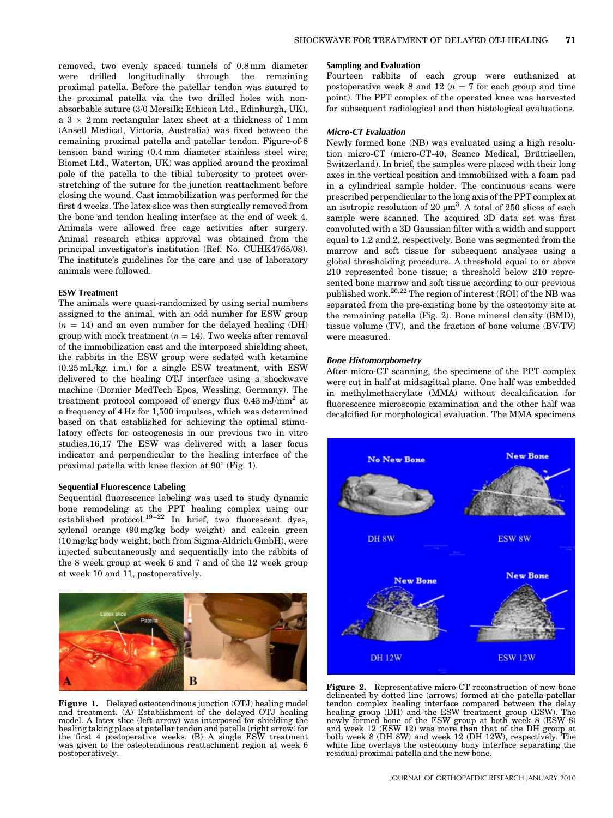removed, two evenly spaced tunnels of 0.8 mm diameter were drilled longitudinally through the remaining proximal patella. Before the patellar tendon was sutured to the proximal patella via the two drilled holes with nonabsorbable suture (3/0 Mersilk; Ethicon Ltd., Edinburgh, UK), a  $3 \times 2 \,\rm{mm}$  rectangular latex sheet at a thickness of  $1 \,\rm{mm}$ (Ansell Medical, Victoria, Australia) was fixed between the remaining proximal patella and patellar tendon. Figure-of-8 tension band wiring (0.4 mm diameter stainless steel wire; Biomet Ltd., Waterton, UK) was applied around the proximal pole of the patella to the tibial tuberosity to protect overstretching of the suture for the junction reattachment before closing the wound. Cast immobilization was performed for the first 4 weeks. The latex slice was then surgically removed from the bone and tendon healing interface at the end of week 4. Animals were allowed free cage activities after surgery. Animal research ethics approval was obtained from the principal investigator's institution (Ref. No. CUHK4765/08). The institute's guidelines for the care and use of laboratory animals were followed.

### ESW Treatment

The animals were quasi-randomized by using serial numbers assigned to the animal, with an odd number for ESW group  $(n = 14)$  and an even number for the delayed healing (DH) group with mock treatment  $(n = 14)$ . Two weeks after removal of the immobilization cast and the interposed shielding sheet, the rabbits in the ESW group were sedated with ketamine (0.25 mL/kg, i.m.) for a single ESW treatment, with ESW delivered to the healing OTJ interface using a shockwave machine (Dornier MedTech Epos, Wessling, Germany). The treatment protocol composed of energy flux  $0.43 \text{ mJ/mm}^2$  at a frequency of 4 Hz for 1,500 impulses, which was determined based on that established for achieving the optimal stimulatory effects for osteogenesis in our previous two in vitro studies.16,17 The ESW was delivered with a laser focus indicator and perpendicular to the healing interface of the proximal patella with knee flexion at  $90^\circ$  (Fig. 1).

#### Sequential Fluorescence Labeling

Sequential fluorescence labeling was used to study dynamic bone remodeling at the PPT healing complex using our established protocol.<sup>19-22</sup> In brief, two fluorescent dyes, xylenol orange (90 mg/kg body weight) and calcein green (10 mg/kg body weight; both from Sigma-Aldrich GmbH), were injected subcutaneously and sequentially into the rabbits of the 8 week group at week 6 and 7 and of the 12 week group at week 10 and 11, postoperatively.



Figure 1. Delayed osteotendinous junction (OTJ) healing model and treatment. (A) Establishment of the delayed OTJ healing model. A latex slice (left arrow) was interposed for shielding the healing taking place at patellar tendon and patella (right arrow) for the first 4 postoperative weeks. (B) A single ESW treatment was given to the osteotendinous reattachment region at week 6 postoperatively.

#### Sampling and Evaluation

Fourteen rabbits of each group were euthanized at postoperative week 8 and 12 ( $n = 7$  for each group and time point). The PPT complex of the operated knee was harvested for subsequent radiological and then histological evaluations.

#### Micro-CT Evaluation

Newly formed bone (NB) was evaluated using a high resolution micro-CT (micro-CT-40; Scanco Medical, Brüttisellen, Switzerland). In brief, the samples were placed with their long axes in the vertical position and immobilized with a foam pad in a cylindrical sample holder. The continuous scans were prescribed perpendicular to the long axis of the PPT complex at an isotropic resolution of 20  $\mu$ m<sup>3</sup>. A total of 250 slices of each sample were scanned. The acquired 3D data set was first convoluted with a 3D Gaussian filter with a width and support equal to 1.2 and 2, respectively. Bone was segmented from the marrow and soft tissue for subsequent analyses using a global thresholding procedure. A threshold equal to or above 210 represented bone tissue; a threshold below 210 represented bone marrow and soft tissue according to our previous published work.<sup>20,22</sup> The region of interest (ROI) of the NB was separated from the pre-existing bone by the osteotomy site at the remaining patella (Fig. 2). Bone mineral density (BMD), tissue volume (TV), and the fraction of bone volume (BV/TV) were measured.

#### Bone Histomorphometry

After micro-CT scanning, the specimens of the PPT complex were cut in half at midsagittal plane. One half was embedded in methylmethacrylate (MMA) without decalcification for fluorescence microscopic examination and the other half was decalcified for morphological evaluation. The MMA specimens



Figure 2. Representative micro-CT reconstruction of new bone delineated by dotted line (arrows) formed at the patella-patellar tendon complex healing interface compared between the delay healing group (DH) and the ESW treatment group (ESW). The newly formed bone of the ESW group at both week 8 (ESW 8) and week 12 (ESW 12) was more than that of the DH group at both week 8 (DH 8W) and week 12 (DH 12W), respectively. The white line overlays the osteotomy bony interface separating the residual proximal patella and the new bone.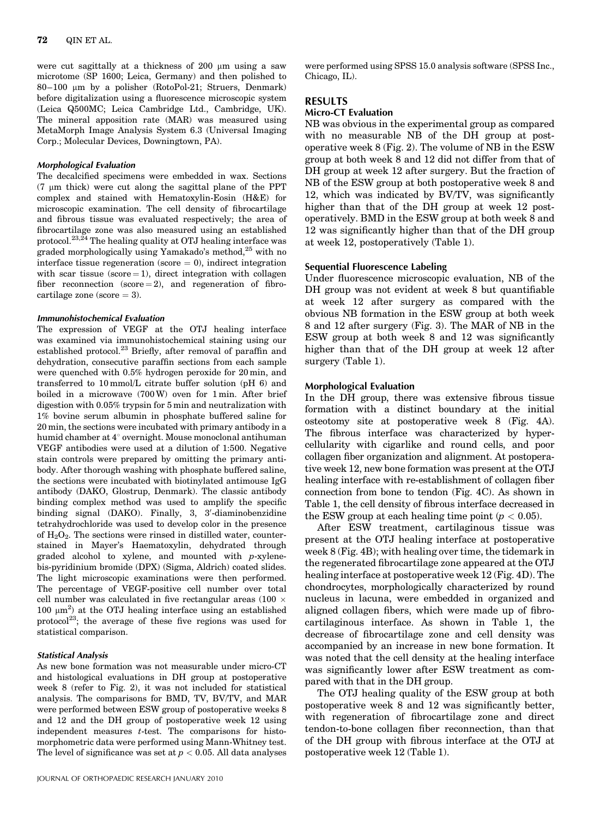were cut sagittally at a thickness of  $200 \mu m$  using a saw microtome (SP 1600; Leica, Germany) and then polished to 80–100 µm by a polisher (RotoPol-21; Struers, Denmark) before digitalization using a fluorescence microscopic system (Leica Q500MC; Leica Cambridge Ltd., Cambridge, UK). The mineral apposition rate (MAR) was measured using MetaMorph Image Analysis System 6.3 (Universal Imaging Corp.; Molecular Devices, Downingtown, PA).

#### Morphological Evaluation

The decalcified specimens were embedded in wax. Sections (7  $\mu$ m thick) were cut along the sagittal plane of the PPT complex and stained with Hematoxylin-Eosin (H&E) for microscopic examination. The cell density of fibrocartilage and fibrous tissue was evaluated respectively; the area of fibrocartilage zone was also measured using an established protocol.<sup>23, $\bar{2}$ 4</sup> The healing quality at OTJ healing interface was graded morphologically using Yamakado's method,<sup>25</sup> with no interface tissue regeneration (score  $= 0$ ), indirect integration with scar tissue (score  $=$  1), direct integration with collagen fiber reconnection ( $score = 2$ ), and regeneration of fibrocartilage zone (score  $= 3$ ).

#### Immunohistochemical Evaluation

The expression of VEGF at the OTJ healing interface was examined via immunohistochemical staining using our established protocol.<sup>23</sup> Briefly, after removal of paraffin and dehydration, consecutive paraffin sections from each sample were quenched with 0.5% hydrogen peroxide for 20 min, and transferred to 10 mmol/L citrate buffer solution (pH 6) and boiled in a microwave (700 W) oven for 1 min. After brief digestion with 0.05% trypsin for 5 min and neutralization with 1% bovine serum albumin in phosphate buffered saline for 20 min, the sections were incubated with primary antibody in a humid chamber at 4° overnight. Mouse monoclonal antihuman VEGF antibodies were used at a dilution of 1:500. Negative stain controls were prepared by omitting the primary antibody. After thorough washing with phosphate buffered saline, the sections were incubated with biotinylated antimouse IgG antibody (DAKO, Glostrup, Denmark). The classic antibody binding complex method was used to amplify the specific binding signal (DAKO). Finally, 3, 3'-diaminobenzidine tetrahydrochloride was used to develop color in the presence of  $H_2O_2$ . The sections were rinsed in distilled water, counterstained in Mayer's Haematoxylin, dehydrated through graded alcohol to xylene, and mounted with p-xylenebis-pyridinium bromide (DPX) (Sigma, Aldrich) coated slides. The light microscopic examinations were then performed. The percentage of VEGF-positive cell number over total cell number was calculated in five rectangular areas (100  $\times$ 100  $\mu$ m<sup>2</sup>) at the OTJ healing interface using an established protocol<sup>23</sup>; the average of these five regions was used for statistical comparison.

#### Statistical Analysis

As new bone formation was not measurable under micro-CT and histological evaluations in DH group at postoperative week 8 (refer to Fig. 2), it was not included for statistical analysis. The comparisons for BMD, TV, BV/TV, and MAR were performed between ESW group of postoperative weeks 8 and 12 and the DH group of postoperative week 12 using independent measures  $t$ -test. The comparisons for histomorphometric data were performed using Mann-Whitney test. The level of significance was set at  $p < 0.05$ . All data analyses

were performed using SPSS 15.0 analysis software (SPSS Inc., Chicago, IL).

## RESULTS

## Micro-CT Evaluation

NB was obvious in the experimental group as compared with no measurable NB of the DH group at postoperative week 8 (Fig. 2). The volume of NB in the ESW group at both week 8 and 12 did not differ from that of DH group at week 12 after surgery. But the fraction of NB of the ESW group at both postoperative week 8 and 12, which was indicated by BV/TV, was significantly higher than that of the DH group at week 12 postoperatively. BMD in the ESW group at both week 8 and 12 was significantly higher than that of the DH group at week 12, postoperatively (Table 1).

#### Sequential Fluorescence Labeling

Under fluorescence microscopic evaluation, NB of the DH group was not evident at week 8 but quantifiable at week 12 after surgery as compared with the obvious NB formation in the ESW group at both week 8 and 12 after surgery (Fig. 3). The MAR of NB in the ESW group at both week 8 and 12 was significantly higher than that of the DH group at week 12 after surgery (Table 1).

#### Morphological Evaluation

In the DH group, there was extensive fibrous tissue formation with a distinct boundary at the initial osteotomy site at postoperative week 8 (Fig. 4A). The fibrous interface was characterized by hypercellularity with cigarlike and round cells, and poor collagen fiber organization and alignment. At postoperative week 12, new bone formation was present at the OTJ healing interface with re-establishment of collagen fiber connection from bone to tendon (Fig. 4C). As shown in Table 1, the cell density of fibrous interface decreased in the ESW group at each healing time point  $(p < 0.05)$ .

After ESW treatment, cartilaginous tissue was present at the OTJ healing interface at postoperative week 8 (Fig. 4B); with healing over time, the tidemark in the regenerated fibrocartilage zone appeared at the OTJ healing interface at postoperative week 12 (Fig. 4D). The chondrocytes, morphologically characterized by round nucleus in lacuna, were embedded in organized and aligned collagen fibers, which were made up of fibrocartilaginous interface. As shown in Table 1, the decrease of fibrocartilage zone and cell density was accompanied by an increase in new bone formation. It was noted that the cell density at the healing interface was significantly lower after ESW treatment as compared with that in the DH group.

The OTJ healing quality of the ESW group at both postoperative week 8 and 12 was significantly better, with regeneration of fibrocartilage zone and direct tendon-to-bone collagen fiber reconnection, than that of the DH group with fibrous interface at the OTJ at postoperative week 12 (Table 1).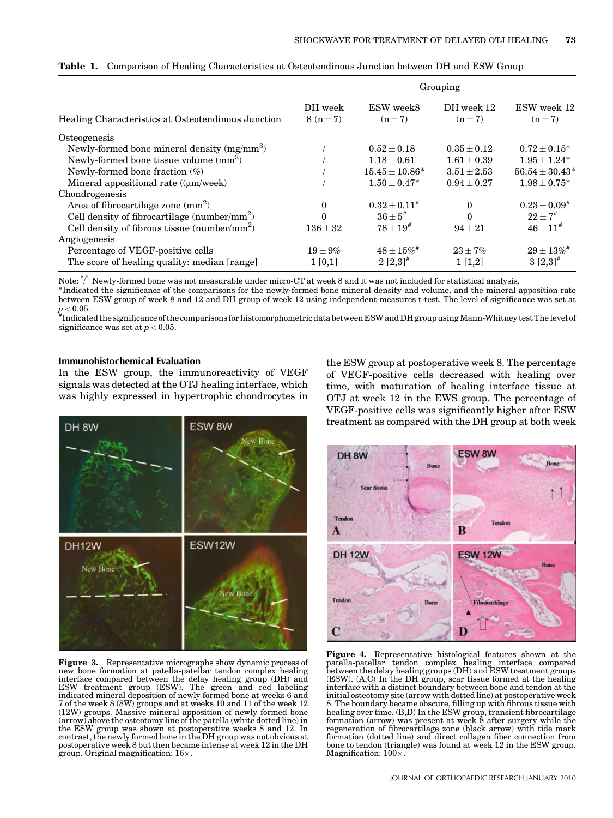|                                                          | Grouping            |                             |                       |                                   |  |  |
|----------------------------------------------------------|---------------------|-----------------------------|-----------------------|-----------------------------------|--|--|
| Healing Characteristics at Osteotendinous Junction       | DH week<br>$8(n=7)$ | ESW week8<br>$(n=7)$        | DH week 12<br>$(n=7)$ | ESW week 12<br>$(n=7)$            |  |  |
| Osteogenesis                                             |                     |                             |                       |                                   |  |  |
| Newly-formed bone mineral density (mg/mm <sup>3</sup> )  |                     | $0.52 \pm 0.18$             | $0.35 + 0.12$         | $0.72 \pm 0.15^*$                 |  |  |
| Newly-formed bone tissue volume (mm <sup>3</sup> )       |                     | $1.18 \pm 0.61$             | $1.61 \pm 0.39$       | $1.95 \pm 1.24*$                  |  |  |
| Newly-formed bone fraction $(\%)$                        |                     | $15.45 \pm 10.86^*$         | $3.51 \pm 2.53$       | $56.54 \pm 30.43^*$               |  |  |
| Mineral appositional rate $((\mu m/week))$               |                     | $1.50 \pm 0.47^{*}$         | $0.94 + 0.27$         | $1.98 \pm 0.75^*$                 |  |  |
| Chondrogenesis                                           |                     |                             |                       |                                   |  |  |
| Area of fibrocartilage zone $(mm^2)$                     | 0                   | $0.32 \pm 0.11^{*}$         | 0                     | $0.23\pm0.09^{\text{\textit{#}}}$ |  |  |
| Cell density of fibrocartilage (number/mm <sup>2</sup> ) | 0                   | $36+5$ <sup>#</sup>         |                       | $22+7$                            |  |  |
| Cell density of fibrous tissue (number/mm <sup>2</sup> ) | $136 \pm 32$        | $78\pm19^{#}$               | $94 + 21$             | $46 + 11$ <sup>#</sup>            |  |  |
| Angiogenesis                                             |                     |                             |                       |                                   |  |  |
| Percentage of VEGF-positive cells                        | $19\pm9\%$          | $48\pm15\%$ $\phantom{1}''$ | $23 \pm 7\%$          | $29\pm13\%$ $^{\#}$               |  |  |
| The score of healing quality: median [range]             | 1 [0,1]             | $2 [2,3]^{\#}$              | 1 [1, 2]              | 3 [2,3] <sup>#</sup>              |  |  |

|  |  |  | Table 1. Comparison of Healing Characteristics at Osteotendinous Junction between DH and ESW Group |  |  |  |  |  |
|--|--|--|----------------------------------------------------------------------------------------------------|--|--|--|--|--|
|--|--|--|----------------------------------------------------------------------------------------------------|--|--|--|--|--|

Note: "/": Newly-formed bone was not measurable under micro-CT at week 8 and it was not included for statistical analysis.

\*Indicated the significance of the comparisons for the newly-formed bone mineral density and volume, and the mineral apposition rate between ESW group of week 8 and 12 and DH group of week 12 using independent-measures t-test. The level of significance was set at

p < 0.05.<br>#Indicated the significance of the comparisons for histomorphometric data between ESW and DH group using Mann-Whitney test The level of significance was set at  $p < 0.05$ .

#### Immunohistochemical Evaluation

In the ESW group, the immunoreactivity of VEGF signals was detected at the OTJ healing interface, which was highly expressed in hypertrophic chondrocytes in



Figure 3. Representative micrographs show dynamic process of new bone formation at patella-patellar tendon complex healing interface compared between the delay healing group (DH) and ESW treatment group (ESW). The green and red labeling indicated mineral deposition of newly formed bone at weeks 6 and 7 of the week 8 (8W) groups and at weeks 10 and 11 of the week 12 (12W) groups. Massive mineral apposition of newly formed bone (arrow) above the osteotomy line of the patella (white dotted line) in the ESW group was shown at postoperative weeks 8 and 12. In contrast, the newly formed bone in the DH group was not obvious at postoperative week 8 but then became intense at week 12 in the DH group. Original magnification: 16 $\times$ .

the ESW group at postoperative week 8. The percentage of VEGF-positive cells decreased with healing over time, with maturation of healing interface tissue at OTJ at week 12 in the EWS group. The percentage of VEGF-positive cells was significantly higher after ESW treatment as compared with the DH group at both week



Figure 4. Representative histological features shown at the patella-patellar tendon complex healing interface compared between the delay healing groups (DH) and ESW treatment groups (ESW). (A,C) In the DH group, scar tissue formed at the healing interface with a distinct boundary between bone and tendon at the initial osteotomy site (arrow with dotted line) at postoperative week 8. The boundary became obscure, filling up with fibrous tissue with bealing over time. (B,D) In the ESW group, transient fibrocartilage formation (arrow) was present at week 8 after surgery while the regeneration of fibrocartilage zone (black arrow) with tide mark formation (dotted line) and direct collagen fiber connection from bone to tendon (triangle) was found at week 12 in the ESW group. Magnification: 100 $\times$ .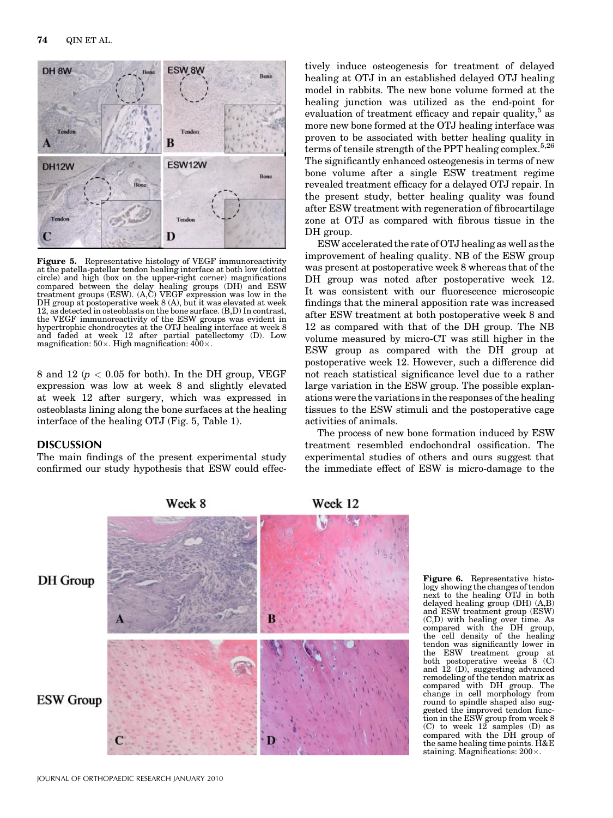

Figure 5. Representative histology of VEGF immunoreactivity at the patella-patellar tendon healing interface at both low (dotted circle) and high (box on the upper-right corner) magnifications compared between the delay healing groups (DH) and ESW treatment groups (ESW). (A,C) VEGF expression was low in the DH group at postoperative week 8 (A), but it was elevated at week 12, as detected in osteoblasts on the bone surface. (B,D) In contrast, the VEGF immunoreactivity of the ESW groups was evident in hypertrophic chondrocytes at the OTJ healing interface at week 8 and faded at week 12 after partial patellectomy (D). Low magnification: 50 $\times$ . High magnification: 400 $\times$ .

8 and 12  $(p < 0.05$  for both). In the DH group, VEGF expression was low at week 8 and slightly elevated at week 12 after surgery, which was expressed in osteoblasts lining along the bone surfaces at the healing interface of the healing OTJ (Fig. 5, Table 1).

## **DISCUSSION**

The main findings of the present experimental study confirmed our study hypothesis that ESW could effectively induce osteogenesis for treatment of delayed healing at OTJ in an established delayed OTJ healing model in rabbits. The new bone volume formed at the healing junction was utilized as the end-point for evaluation of treatment efficacy and repair quality,<sup>5</sup> as more new bone formed at the OTJ healing interface was proven to be associated with better healing quality in terms of tensile strength of the PPT healing complex.<sup>5,26</sup> The significantly enhanced osteogenesis in terms of new bone volume after a single ESW treatment regime revealed treatment efficacy for a delayed OTJ repair. In the present study, better healing quality was found after ESW treatment with regeneration of fibrocartilage zone at OTJ as compared with fibrous tissue in the DH group.

ESW accelerated the rate of OTJ healing as well as the improvement of healing quality. NB of the ESW group was present at postoperative week 8 whereas that of the DH group was noted after postoperative week 12. It was consistent with our fluorescence microscopic findings that the mineral apposition rate was increased after ESW treatment at both postoperative week 8 and 12 as compared with that of the DH group. The NB volume measured by micro-CT was still higher in the ESW group as compared with the DH group at postoperative week 12. However, such a difference did not reach statistical significance level due to a rather large variation in the ESW group. The possible explanations were the variations in the responses of the healing tissues to the ESW stimuli and the postoperative cage activities of animals.

The process of new bone formation induced by ESW treatment resembled endochondral ossification. The experimental studies of others and ours suggest that the immediate effect of ESW is micro-damage to the



Figure 6. Representative histology showing the changes of tendon next to the healing OTJ in both delayed healing group (DH) (A,B) and ESW treatment group (ESW) (C,D) with healing over time. As compared with the DH group, the cell density of the healing tendon was significantly lower in the ESW treatment group at both postoperative weeks 8 (C) and 12 (D), suggesting advanced remodeling of the tendon matrix as compared with DH group. The change in cell morphology from round to spindle shaped also suggested the improved tendon func-tion in the ESW group from week 8 (C) to week  $12 \overline{)}$  samples (D) as compared with the DH group of the same healing time points. H&E staining. Magnifications:  $200\times$ .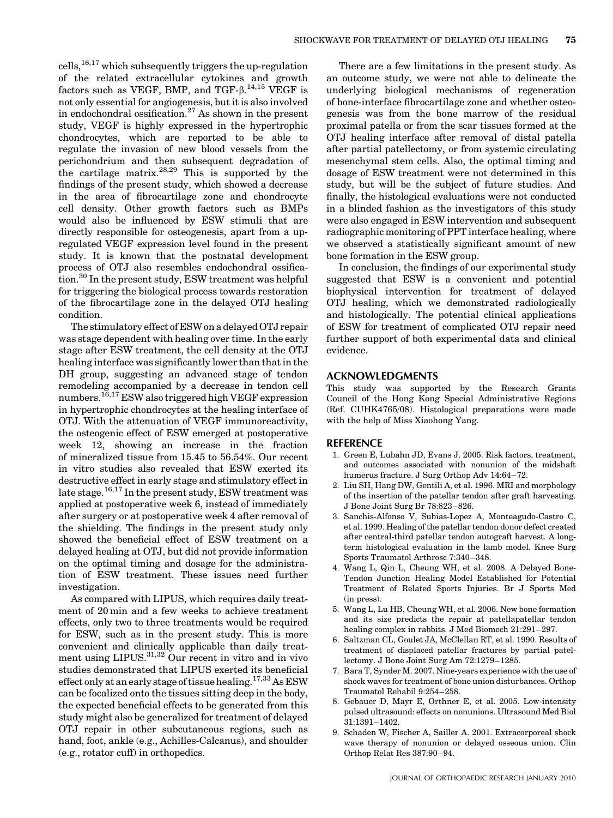cells,  $16,17$  which subsequently triggers the up-regulation of the related extracellular cytokines and growth factors such as VEGF, BMP, and TGF- $\beta$ .<sup>14,15</sup> VEGF is not only essential for angiogenesis, but it is also involved in endochondral ossification.27 As shown in the present study, VEGF is highly expressed in the hypertrophic chondrocytes, which are reported to be able to regulate the invasion of new blood vessels from the perichondrium and then subsequent degradation of the cartilage matrix. $28,29$  This is supported by the findings of the present study, which showed a decrease in the area of fibrocartilage zone and chondrocyte cell density. Other growth factors such as BMPs would also be influenced by ESW stimuli that are directly responsible for osteogenesis, apart from a upregulated VEGF expression level found in the present study. It is known that the postnatal development process of OTJ also resembles endochondral ossification.30 In the present study, ESW treatment was helpful for triggering the biological process towards restoration of the fibrocartilage zone in the delayed OTJ healing condition.

The stimulatory effect of ESW on a delayed OTJ repair was stage dependent with healing over time. In the early stage after ESW treatment, the cell density at the OTJ healing interface was significantly lower than that in the DH group, suggesting an advanced stage of tendon remodeling accompanied by a decrease in tendon cell numbers.<sup>16,17</sup> ESW also triggered high VEGF expression in hypertrophic chondrocytes at the healing interface of OTJ. With the attenuation of VEGF immunoreactivity, the osteogenic effect of ESW emerged at postoperative week 12, showing an increase in the fraction of mineralized tissue from 15.45 to 56.54%. Our recent in vitro studies also revealed that ESW exerted its destructive effect in early stage and stimulatory effect in late stage.<sup>16,17</sup> In the present study, ESW treatment was applied at postoperative week 6, instead of immediately after surgery or at postoperative week 4 after removal of the shielding. The findings in the present study only showed the beneficial effect of ESW treatment on a delayed healing at OTJ, but did not provide information on the optimal timing and dosage for the administration of ESW treatment. These issues need further investigation.

As compared with LIPUS, which requires daily treatment of 20 min and a few weeks to achieve treatment effects, only two to three treatments would be required for ESW, such as in the present study. This is more convenient and clinically applicable than daily treatment using LIPUS.<sup>31,32</sup> Our recent in vitro and in vivo studies demonstrated that LIPUS exerted its beneficial effect only at an early stage of tissue healing.<sup>17,33</sup> As ESW can be focalized onto the tissues sitting deep in the body, the expected beneficial effects to be generated from this study might also be generalized for treatment of delayed OTJ repair in other subcutaneous regions, such as hand, foot, ankle (e.g., Achilles-Calcanus), and shoulder (e.g., rotator cuff) in orthopedics.

There are a few limitations in the present study. As an outcome study, we were not able to delineate the underlying biological mechanisms of regeneration of bone-interface fibrocartilage zone and whether osteogenesis was from the bone marrow of the residual proximal patella or from the scar tissues formed at the OTJ healing interface after removal of distal patella after partial patellectomy, or from systemic circulating mesenchymal stem cells. Also, the optimal timing and dosage of ESW treatment were not determined in this study, but will be the subject of future studies. And finally, the histological evaluations were not conducted in a blinded fashion as the investigators of this study were also engaged in ESW intervention and subsequent radiographic monitoring of PPT interface healing, where we observed a statistically significant amount of new bone formation in the ESW group.

In conclusion, the findings of our experimental study suggested that ESW is a convenient and potential biophysical intervention for treatment of delayed OTJ healing, which we demonstrated radiologically and histologically. The potential clinical applications of ESW for treatment of complicated OTJ repair need further support of both experimental data and clinical evidence.

#### ACKNOWLEDGMENTS

This study was supported by the Research Grants Council of the Hong Kong Special Administrative Regions (Ref. CUHK4765/08). Histological preparations were made with the help of Miss Xiaohong Yang.

#### REFERENCE

- 1. Green E, Lubahn JD, Evans J. 2005. Risk factors, treatment, and outcomes associated with nonunion of the midshaft humerus fracture. J Surg Orthop Adv 14:64–72.
- 2. Liu SH, Hang DW, Gentili A, et al. 1996. MRI and morphology of the insertion of the patellar tendon after graft harvesting. J Bone Joint Surg Br 78:823–826.
- 3. Sanchis-Alfonso V, Subias-Lopez A, Monteagudo-Castro C, et al. 1999. Healing of the patellar tendon donor defect created after central-third patellar tendon autograft harvest. A longterm histological evaluation in the lamb model. Knee Surg Sports Traumatol Arthrosc 7:340–348.
- 4. Wang L, Qin L, Cheung WH, et al. 2008. A Delayed Bone-Tendon Junction Healing Model Established for Potential Treatment of Related Sports Injuries. Br J Sports Med (in press).
- 5. Wang L, Lu HB, Cheung WH, et al. 2006. New bone formation and its size predicts the repair at patellapatellar tendon healing complex in rabbits. J Med Biomech 21:291–297.
- 6. Saltzman CL, Goulet JA, McClellan RT, et al. 1990. Results of treatment of displaced patellar fractures by partial patellectomy. J Bone Joint Surg Am 72:1279–1285.
- 7. Bara T, Synder M. 2007. Nine-years experience with the use of shock waves for treatment of bone union disturbances. Orthop Traumatol Rehabil 9:254–258.
- 8. Gebauer D, Mayr E, Orthner E, et al. 2005. Low-intensity pulsed ultrasound: effects on nonunions. Ultrasound Med Biol 31:1391–1402.
- 9. Schaden W, Fischer A, Sailler A. 2001. Extracorporeal shock wave therapy of nonunion or delayed osseous union. Clin Orthop Relat Res 387:90–94.